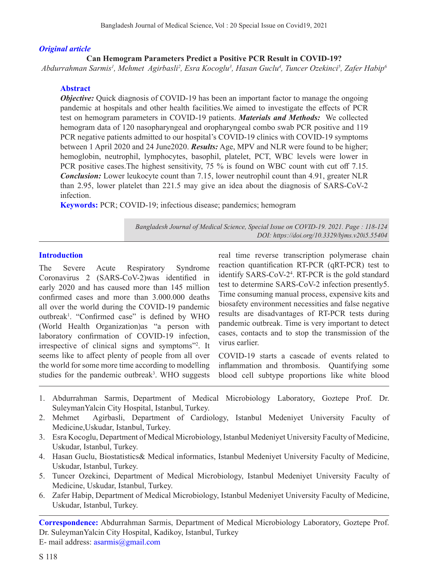#### *Original article*

## **Can Hemogram Parameters Predict a Positive PCR Result in COVID-19?**

*Abdurrahman Sarmis1 , Mehmet Agirbasli2 , Esra Kocoglu3 , Hasan Guclu4 , Tuncer Ozekinci5 , Zafer Habip6*

### **Abstract**

*Objective:* Quick diagnosis of COVID-19 has been an important factor to manage the ongoing pandemic at hospitals and other health facilities.We aimed to investigate the effects of PCR test on hemogram parameters in COVID-19 patients. *Materials and Methods:* We collected hemogram data of 120 nasopharyngeal and oropharyngeal combo swab PCR positive and 119 PCR negative patients admitted to our hospital's COVID-19 clinics with COVID-19 symptoms between 1 April 2020 and 24 June2020. *Results:* Age, MPV and NLR were found to be higher; hemoglobin, neutrophil, lymphocytes, basophil, platelet, PCT, WBC levels were lower in PCR positive cases.The highest sensitivity, 75 % is found on WBC count with cut off 7.15. *Conclusion:* Lower leukocyte count than 7.15, lower neutrophil count than 4.91, greater NLR than 2.95, lower platelet than 221.5 may give an idea about the diagnosis of SARS-CoV-2 infection.

**Keywords:** PCR; COVID-19; infectious disease; pandemics; hemogram

*Bangladesh Journal of Medical Science, Special Issue on COVID-19. 2021. Page : 118-124 DOI: https://doi.org/10.3329/bjms.v20i5.55404* 

## **Introduction**

The Severe Acute Respiratory Syndrome Coronavirus 2 (SARS-CoV-2)was identified in early 2020 and has caused more than 145 million confirmed cases and more than 3.000.000 deaths all over the world during the COVID-19 pandemic outbreak<sup>1</sup>. "Confirmed case" is defined by WHO (World Health Organization)as "a person with laboratory confirmation of COVID-19 infection, irrespective of clinical signs and symptoms"2 . It seems like to affect plenty of people from all over the world for some more time according to modelling studies for the pandemic outbreak<sup>3</sup>. WHO suggests real time reverse transcription polymerase chain reaction quantification RT-PCR (qRT-PCR) test to identify SARS-CoV-24 . RT-PCR is the gold standard test to determine SARS-CoV-2 infection presently5. Time consuming manual process, expensive kits and biosafety environment necessities and false negative results are disadvantages of RT-PCR tests during pandemic outbreak. Time is very important to detect cases, contacts and to stop the transmission of the virus earlier.

COVID-19 starts a cascade of events related to inflammation and thrombosis. Quantifying some blood cell subtype proportions like white blood

- 1. Abdurrahman Sarmis, Department of Medical Microbiology Laboratory, Goztepe Prof. Dr. SuleymanYalcin City Hospital, Istanbul, Turkey.
- 2. Mehmet Agirbasli, Department of Cardiology, Istanbul Medeniyet University Faculty of Medicine,Uskudar, Istanbul, Turkey.
- 3. Esra Kocoglu, Department of Medical Microbiology, Istanbul Medeniyet University Faculty of Medicine, Uskudar, Istanbul, Turkey.
- 4. Hasan Guclu, Biostatistics& Medical informatics, Istanbul Medeniyet University Faculty of Medicine, Uskudar, Istanbul, Turkey.
- 5. Tuncer Ozekinci, Department of Medical Microbiology, Istanbul Medeniyet University Faculty of Medicine, Uskudar, Istanbul, Turkey.
- 6. Zafer Habip, Department of Medical Microbiology, Istanbul Medeniyet University Faculty of Medicine, Uskudar, Istanbul, Turkey.

**Correspondence:** Abdurrahman Sarmis, Department of Medical Microbiology Laboratory, Goztepe Prof. Dr. SuleymanYalcin City Hospital, Kadikoy, Istanbul, Turkey

E- mail address: asarmis@gmail.com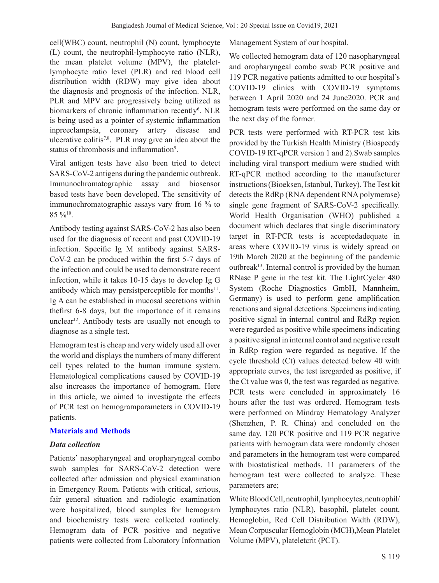cell(WBC) count, neutrophil (N) count, lymphocyte (L) count, the neutrophil-lymphocyte ratio (NLR), the mean platelet volume (MPV), the plateletlymphocyte ratio level (PLR) and red blood cell distribution width (RDW) may give idea about the diagnosis and prognosis of the infection. NLR, PLR and MPV are progressively being utilized as biomarkers of chronic inflammation recently<sup>6</sup>. NLR is being used as a pointer of systemic inflammation inpreeclampsia, coronary artery disease and ulcerative colitis7,8. PLR may give an idea about the status of thrombosis and inflammation<sup>9</sup>.

Viral antigen tests have also been tried to detect SARS-CoV-2 antigens during the pandemic outbreak. Immunochromatographic assay and biosensor based tests have been developed. The sensitivity of immunochromatographic assays vary from 16 % to 85 %10.

Antibody testing against SARS-CoV-2 has also been used for the diagnosis of recent and past COVID-19 infection. Specific Ig M antibody against SARS-CoV-2 can be produced within the first 5-7 days of the infection and could be used to demonstrate recent infection, while it takes 10-15 days to develop Ig G antibody which may persistperceptible for months $11$ . Ig A can be established in mucosal secretions within thefirst 6-8 days, but the importance of it remains unclear<sup>12</sup>. Antibody tests are usually not enough to diagnose as a single test.

Hemogram test is cheap and very widely used all over the world and displays the numbers of many different cell types related to the human immune system. Hematological complications caused by COVID-19 also increases the importance of hemogram. Here in this article, we aimed to investigate the effects of PCR test on hemogramparameters in COVID-19 patients.

#### **Materials and Methods**

#### *Data collection*

Patients' nasopharyngeal and oropharyngeal combo swab samples for SARS-CoV-2 detection were collected after admission and physical examination in Emergency Room. Patients with critical, serious, fair general situation and radiologic examination were hospitalized, blood samples for hemogram and biochemistry tests were collected routinely. Hemogram data of PCR positive and negative patients were collected from Laboratory Information Management System of our hospital.

We collected hemogram data of 120 nasopharyngeal and oropharyngeal combo swab PCR positive and 119 PCR negative patients admitted to our hospital's COVID-19 clinics with COVID-19 symptoms between 1 April 2020 and 24 June2020. PCR and hemogram tests were performed on the same day or the next day of the former.

PCR tests were performed with RT-PCR test kits provided by the Turkish Health Ministry (Biospeedy COVID-19 RT-qPCR version 1 and 2).Swab samples including viral transport medium were studied with RT‐qPCR method according to the manufacturer instructions (Bioeksen, Istanbul, Turkey). The Test kit detects the RdRp (RNA dependent RNA polymerase) single gene fragment of SARS-CoV-2 specifically. World Health Organisation (WHO) published a document which declares that single discriminatory target in RT-PCR tests is acceptedadequate in areas where COVID-19 virus is widely spread on 19th March 2020 at the beginning of the pandemic outbreak<sup>13</sup>. Internal control is provided by the human RNase P gene in the test kit. The LightCycler 480 System (Roche Diagnostics GmbH, Mannheim, Germany) is used to perform gene amplification reactions and signal detections. Specimens indicating positive signal in internal control and RdRp region were regarded as positive while specimens indicating a positive signal in internal control and negative result in RdRp region were regarded as negative. If the cycle threshold (Ct) values detected below 40 with appropriate curves, the test isregarded as positive, if the Ct value was 0, the test was regarded as negative. PCR tests were concluded in approximately 16 hours after the test was ordered. Hemogram tests were performed on Mindray Hematology Analyzer (Shenzhen, P. R. China) and concluded on the same day. 120 PCR positive and 119 PCR negative patients with hemogram data were randomly chosen and parameters in the hemogram test were compared with biostatistical methods. 11 parameters of the hemogram test were collected to analyze. These parameters are;

White Blood Cell, neutrophil, lymphocytes, neutrophil/ lymphocytes ratio (NLR), basophil, platelet count, Hemoglobin, Red Cell Distribution Width (RDW), Mean Corpuscular Hemoglobin (MCH),Mean Platelet Volume (MPV), plateletcrit (PCT).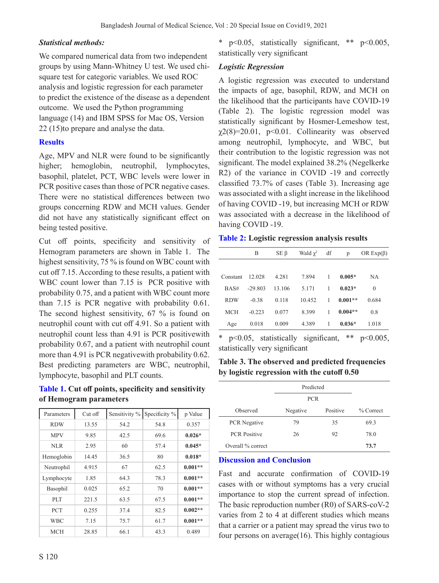## *Statistical methods:*

We compared numerical data from two independent groups by using Mann-Whitney U test. We used chisquare test for categoric variables. We used ROC analysis and logistic regression for each parameter to predict the existence of the disease as a dependent outcome. We used the Python programming language (14) and IBM SPSS for Mac OS, Version 22 (15)to prepare and analyse the data.

# **Results**

Age, MPV and NLR were found to be significantly higher; hemoglobin, neutrophil, lymphocytes, basophil, platelet, PCT, WBC levels were lower in PCR positive cases than those of PCR negative cases. There were no statistical differences between two groups concerning RDW and MCH values. Gender did not have any statistically significant effect on being tested positive.

Cut off points, specificity and sensitivity of Hemogram parameters are shown in Table 1. The highest sensitivity, 75 % is found on WBC count with cut off 7.15. According to these results, a patient with WBC count lower than 7.15 is PCR positive with probability 0.75, and a patient with WBC count more than 7.15 is PCR negative with probability 0.61. The second highest sensitivity, 67 % is found on neutrophil count with cut off 4.91. So a patient with neutrophil count less than 4.91 is PCR positivewith probability 0.67, and a patient with neutrophil count more than 4.91 is PCR negativewith probability 0.62. Best predicting parameters are WBC, neutrophil, lymphocyte, basophil and PLT counts.

**Table 1. Cut off points, specificity and sensitivity of Hemogram parameters**

| Parameters | $Cut$ off | Sensitivity % | Specificity % | p Value   |
|------------|-----------|---------------|---------------|-----------|
| <b>RDW</b> | 13.55     | 54.2          | 54.8          | 0.357     |
| <b>MPV</b> | 9.85      | 42.5          | 69.6          | $0.026*$  |
| NLR        | 2.95      | 60            | 57.4          | $0.045*$  |
| Hemoglobin | 14.45     | 36.5          | 80            | $0.018*$  |
| Neutrophil | 4.915     | 67            | 62.5          | $0.001**$ |
| Lymphocyte | 1.85      | 64.3          | 78.3          | $0.001**$ |
| Basophil   | 0.025     | 65.2          | 70            | $0.001**$ |
| PLT        | 221.5     | 63.5          | 67.5          | $0.001**$ |
| <b>PCT</b> | 0.255     | 37.4          | 82.5          | $0.002**$ |
| <b>WBC</b> | 7.15      | 75.7          | 61.7          | $0.001**$ |
| <b>MCH</b> | 28.85     | 66.1          | 43.3          | 0.489     |

\* p<0.05, statistically significant, \*\* p<0.005, statistically very significant

# *Logistic Regression*

A logistic regression was executed to understand the impacts of age, basophil, RDW, and MCH on the likelihood that the participants have COVID-19 (Table 2). The logistic regression model was statistically significant by Hosmer-Lemeshow test,  $\chi$ 2(8)=20.01, p<0.01. Collinearity was observed among neutrophil, lymphocyte, and WBC, but their contribution to the logistic regression was not significant. The model explained 38.2% (Negelkerke R2) of the variance in COVID -19 and correctly classified 73.7% of cases (Table 3). Increasing age was associated with a slight increase in the likelihood of having COVID -19, but increasing MCH or RDW was associated with a decrease in the likelihood of having COVID -19.

#### **Table 2: Logistic regression analysis results**

|            | B         | $SE \beta$ | Wald $\chi^2$ | df | p         | OR $Exp(\beta)$ |
|------------|-----------|------------|---------------|----|-----------|-----------------|
|            |           |            |               |    |           |                 |
| Constant   | 12.028    | 4.281      | 7.894         | 1  | $0.005*$  | <b>NA</b>       |
| BAS#       | $-29.803$ | 13.106     | 5.171         | 1  | $0.023*$  | $\theta$        |
| <b>RDW</b> | $-0.38$   | 0.118      | 10.452        | 1  | $0.001**$ | 0.684           |
| <b>MCH</b> | $-0.223$  | 0.077      | 8.399         | 1  | $0.004**$ | 0.8             |
| Age        | 0.018     | 0.009      | 4.389         | 1  | $0.036*$  | 1.018           |
|            |           |            |               |    |           |                 |

\* p<0.05, statistically significant, \*\* p<0.005, statistically very significant

**Table 3. The observed and predicted frequencies by logistic regression with the cutoff 0.50**

|                     | Predicted  |          |             |
|---------------------|------------|----------|-------------|
|                     | <b>PCR</b> |          |             |
| Observed            | Negative   | Positive | $%$ Correct |
| PCR Negative        | 79         | 35       | 69.3        |
| <b>PCR Positive</b> | 26         | 92       | 78.0        |
| Overall % correct   |            |          | 73.7        |

#### **Discussion and Conclusion**

Fast and accurate confirmation of COVID-19 cases with or without symptoms has a very crucial importance to stop the current spread of infection. The basic reproduction number (R0) of SARS-coV-2 varies from 2 to 4 at different studies which means that a carrier or a patient may spread the virus two to four persons on average $(16)$ . This highly contagious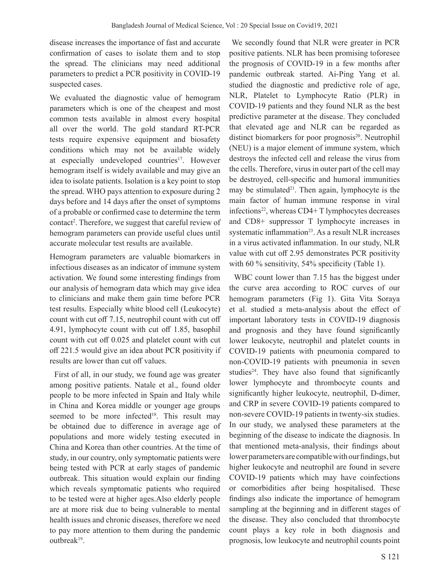disease increases the importance of fast and accurate confirmation of cases to isolate them and to stop the spread. The clinicians may need additional parameters to predict a PCR positivity in COVID-19 suspected cases.

We evaluated the diagnostic value of hemogram parameters which is one of the cheapest and most common tests available in almost every hospital all over the world. The gold standard RT-PCR tests require expensive equipment and biosafety conditions which may not be available widely at especially undeveloped countries<sup>17</sup>. However hemogram itself is widely available and may give an idea to isolate patients. Isolation is a key point to stop the spread. WHO pays attention to exposure during 2 days before and 14 days after the onset of symptoms of a probable or confirmed case to determine the term contact<sup>2</sup>. Therefore, we suggest that careful review of hemogram parameters can provide useful clues until accurate molecular test results are available.

Hemogram parameters are valuable biomarkers in infectious diseases as an indicator of immune system activation. We found some interesting findings from our analysis of hemogram data which may give idea to clinicians and make them gain time before PCR test results. Especially white blood cell (Leukocyte) count with cut off 7.15, neutrophil count with cut off 4.91, lymphocyte count with cut off 1.85, basophil count with cut off 0.025 and platelet count with cut off 221.5 would give an idea about PCR positivity if results are lower than cut off values.

 First of all, in our study, we found age was greater among positive patients. Natale et al., found older people to be more infected in Spain and Italy while in China and Korea middle or younger age groups seemed to be more infected<sup>18</sup>. This result may be obtained due to difference in average age of populations and more widely testing executed in China and Korea than other countries. At the time of study, in our country, only symptomatic patients were being tested with PCR at early stages of pandemic outbreak. This situation would explain our finding which reveals symptomatic patients who required to be tested were at higher ages.Also elderly people are at more risk due to being vulnerable to mental health issues and chronic diseases, therefore we need to pay more attention to them during the pandemic outbreak19.

 We secondly found that NLR were greater in PCR positive patients. NLR has been promising toforesee the prognosis of COVID-19 in a few months after pandemic outbreak started. Ai-Ping Yang et al. studied the diagnostic and predictive role of age, NLR, Platelet to Lymphocyte Ratio (PLR) in COVID-19 patients and they found NLR as the best predictive parameter at the disease. They concluded that elevated age and NLR can be regarded as distinct biomarkers for poor prognosis<sup>20</sup>. Neutrophil (NEU) is a major element of immune system, which destroys the infected cell and release the virus from the cells. Therefore, virus in outer part of the cell may be destroyed, cell-specific and humoral immunities may be stimulated $2^1$ . Then again, lymphocyte is the main factor of human immune response in viral infections<sup>22</sup>, whereas  $CD4+T$  lymphocytes decreases and CD8+ suppressor T lymphocyte increases in systematic inflammation $23$ . As a result NLR increases in a virus activated inflammation. In our study, NLR value with cut off 2.95 demonstrates PCR positivity with 60 % sensitivity, 54% specificity (Table 1).

 WBC count lower than 7.15 has the biggest under the curve area according to ROC curves of our hemogram parameters (Fig 1). Gita Vita Soraya et al. studied a meta-analysis about the effect of important laboratory tests in COVID-19 diagnosis and prognosis and they have found significantly lower leukocyte, neutrophil and platelet counts in COVID-19 patients with pneumonia compared to non-COVID-19 patients with pneumonia in seven studies $24$ . They have also found that significantly lower lymphocyte and thrombocyte counts and significantly higher leukocyte, neutrophil, D-dimer, and CRP in severe COVID-19 patients compared to non-severe COVID-19 patients in twenty-six studies. In our study, we analysed these parameters at the beginning of the disease to indicate the diagnosis. In that mentioned meta-analysis, their findings about lower parameters are compatible with our findings, but higher leukocyte and neutrophil are found in severe COVID-19 patients which may have coinfections or comorbidities after being hospitalised. These findings also indicate the importance of hemogram sampling at the beginning and in different stages of the disease. They also concluded that thrombocyte count plays a key role in both diagnosis and prognosis, low leukocyte and neutrophil counts point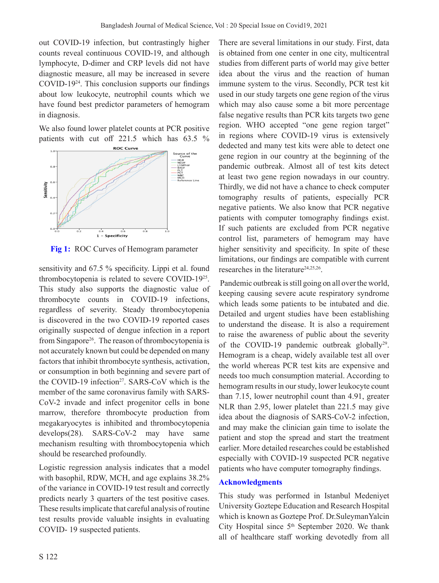out COVID-19 infection, but contrastingly higher counts reveal continuous COVID-19, and although lymphocyte, D-dimer and CRP levels did not have diagnostic measure, all may be increased in severe COVID-1924. This conclusion supports our findings about low leukocyte, neutrophil counts which we have found best predictor parameters of hemogram in diagnosis.

We also found lower platelet counts at PCR positive patients with cut off 221.5 which has 63.5 %



**Fig 1:** ROC Curves of Hemogram parameter

sensitivity and 67.5 % specificity. Lippi et al. found thrombocytopenia is related to severe COVID-1925. This study also supports the diagnostic value of thrombocyte counts in COVID-19 infections, regardless of severity. Steady thrombocytopenia is discovered in the two COVID-19 reported cases originally suspected of dengue infection in a report from Singapore<sup>26</sup>. The reason of thrombocytopenia is not accurately known but could be depended on many factors that inhibit thrombocyte synthesis, activation, or consumption in both beginning and severe part of the COVID-19 infection<sup>27</sup>. SARS-CoV which is the member of the same coronavirus family with SARS-CoV-2 invade and infect progenitor cells in bone marrow, therefore thrombocyte production from megakaryocytes is inhibited and thrombocytopenia develops(28). SARS-CoV-2 may have same mechanism resulting with thrombocytopenia which should be researched profoundly.

Logistic regression analysis indicates that a model with basophil, RDW, MCH, and age explains 38.2% of the variance in COVID-19 test result and correctly predicts nearly 3 quarters of the test positive cases. These results implicate that careful analysis of routine test results provide valuable insights in evaluating COVID- 19 suspected patients.

There are several limitations in our study. First, data is obtained from one center in one city, multicentral studies from different parts of world may give better idea about the virus and the reaction of human immune system to the virus. Secondly, PCR test kit used in our study targets one gene region of the virus which may also cause some a bit more percentage false negative results than PCR kits targets two gene region. WHO accepted "one gene region target" in regions where COVID-19 virus is extensively dedected and many test kits were able to detect one gene region in our country at the beginning of the pandemic outbreak. Almost all of test kits detect at least two gene region nowadays in our country. Thirdly, we did not have a chance to check computer tomography results of patients, especially PCR negative patients. We also know that PCR negative patients with computer tomography findings exist. If such patients are excluded from PCR negative control list, parameters of hemogram may have higher sensitivity and specificity. In spite of these limitations, our findings are compatible with current researches in the literature<sup>24,25,26</sup>.

 Pandemic outbreak is still going on all over the world, keeping causing severe acute respiratory syndrome which leads some patients to be intubated and die. Detailed and urgent studies have been establishing to understand the disease. It is also a requirement to raise the awareness of public about the severity of the COVID-19 pandemic outbreak globally<sup>29</sup>. Hemogram is a cheap, widely available test all over the world whereas PCR test kits are expensive and needs too much consumption material. According to hemogram results in our study, lower leukocyte count than 7.15, lower neutrophil count than 4.91, greater NLR than 2.95, lower platelet than 221.5 may give idea about the diagnosis of SARS-CoV-2 infection, and may make the clinician gain time to isolate the patient and stop the spread and start the treatment earlier. More detailed researches could be established especially with COVID-19 suspected PCR negative patients who have computer tomography findings.

#### **Acknowledgments**

This study was performed in Istanbul Medeniyet University Goztepe Education and Research Hospital which is known as Goztepe Prof. Dr.SuleymanYalcin City Hospital since  $5<sup>th</sup>$  September 2020. We thank all of healthcare staff working devotedly from all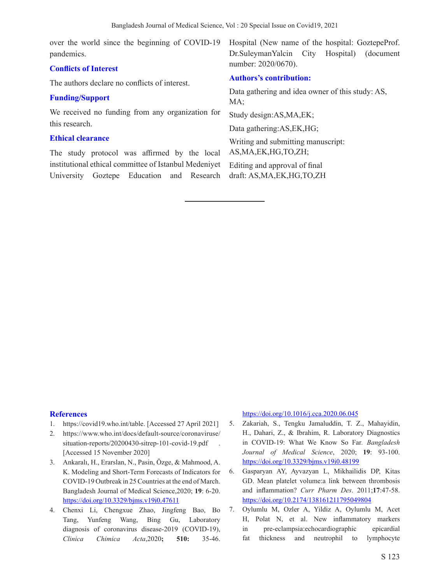over the world since the beginning of COVID-19 pandemics.

## **Conflicts of Interest**

The authors declare no conflicts of interest.

#### **Funding/Support**

We received no funding from any organization for this research.

#### **Ethical clearance**

The study protocol was affirmed by the local institutional ethical committee of Istanbul Medeniyet University Goztepe Education and Research Hospital (New name of the hospital: GoztepeProf. Dr.SuleymanYalcin City Hospital) (document number: 2020/0670).

## **Authors's contribution:**

Data gathering and idea owner of this study: AS, MA;

Study design:AS,MA,EK;

Data gathering:AS,EK,HG;

Writing and submitting manuscript: AS,MA,EK,HG,TO,ZH;

Editing and approval of final draft: AS,MA,EK,HG,TO,ZH

#### **References**

- 1. https://covid19.who.int/table. [Accessed 27 April 2021]
- 2. https://www.who.int/docs/default-source/coronaviruse/ situation-reports/20200430-sitrep-101-covid-19.pdf . [Accessed 15 November 2020]
- 3. Ankaralı, H., Erarslan, N., Pasin, Özge, & Mahmood, A. K. Modeling and Short-Term Forecasts of Indicators for COVID-19 Outbreak in 25 Countries at the end of March. Bangladesh Journal of Medical Science,2020; **19**: 6-20. https://doi.org/10.3329/bjms.v19i0.47611
- 4. Chenxi Li, Chengxue Zhao, Jingfeng Bao, Bo Tang, Yunfeng Wang, Bing Gu, Laboratory diagnosis of coronavirus disease-2019 (COVID-19), *Clinica Chimica Acta*,2020**; 510:** 35-46.

https://doi.org/10.1016/j.cca.2020.06.045

- 5. Zakariah, S., Tengku Jamaluddin, T. Z., Mahayidin, H., Dahari, Z., & Ibrahim, R. Laboratory Diagnostics in COVID-19: What We Know So Far*. Bangladesh Journal of Medical Science*, 2020; **19**: 93-100. https://doi.org/10.3329/bjms.v19i0.48199
- 6. Gasparyan AY, Ayvazyan L, Mikhailidis DP, Kitas GD. Mean platelet volume:a link between thrombosis and inflammation? *Curr Pharm Des*. 2011;**17**:47-58. https://doi.org/10.2174/138161211795049804
- 7. Oylumlu M, Ozler A, Yildiz A, Oylumlu M, Acet H, Polat N, et al. New inflammatory markers in pre-eclampsia:echocardiographic epicardial fat thickness and neutrophil to lymphocyte